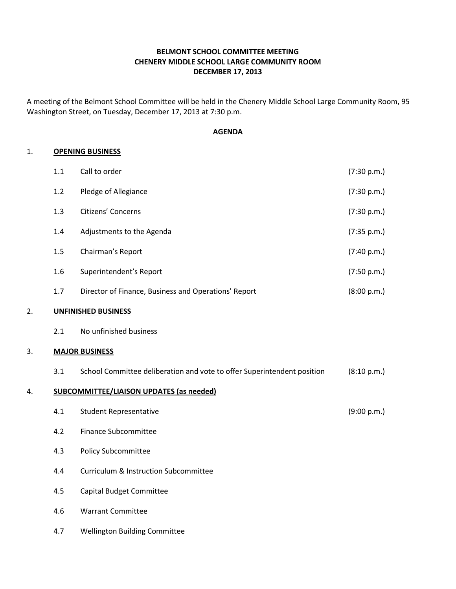## BELMONT SCHOOL COMMITTEE MEETING CHENERY MIDDLE SCHOOL LARGE COMMUNITY ROOM DECEMBER 17, 2013

A meeting of the Belmont School Committee will be held in the Chenery Middle School Large Community Room, 95 Washington Street, on Tuesday, December 17, 2013 at 7:30 p.m.

### AGENDA

### 1. OPENING BUSINESS

| 1.1 | Call to order                                        | (7:30 p.m.) |
|-----|------------------------------------------------------|-------------|
| 1.2 | Pledge of Allegiance                                 | (7:30 p.m.) |
| 1.3 | Citizens' Concerns                                   | (7:30 p.m.) |
| 1.4 | Adjustments to the Agenda                            | (7:35 p.m.) |
| 1.5 | Chairman's Report                                    | (7:40 p.m.) |
| 1.6 | Superintendent's Report                              | (7:50 p.m.) |
| 1.7 | Director of Finance, Business and Operations' Report | (8:00 p.m.) |
|     |                                                      |             |

# 2. UNFINISHED BUSINESS

2.1 No unfinished business

### 3. MAJOR BUSINESS

3.1 School Committee deliberation and vote to offer Superintendent position (8:10 p.m.)

# 4. SUBCOMMITTEE/LIAISON UPDATES (as needed)

| 4.1 | <b>Student Representative</b>         | (9:00 p.m.) |
|-----|---------------------------------------|-------------|
| 4.2 | Finance Subcommittee                  |             |
| 4.3 | <b>Policy Subcommittee</b>            |             |
| 4.4 | Curriculum & Instruction Subcommittee |             |
| 4.5 | Capital Budget Committee              |             |
| 4.6 | <b>Warrant Committee</b>              |             |
|     |                                       |             |

4.7 Wellington Building Committee